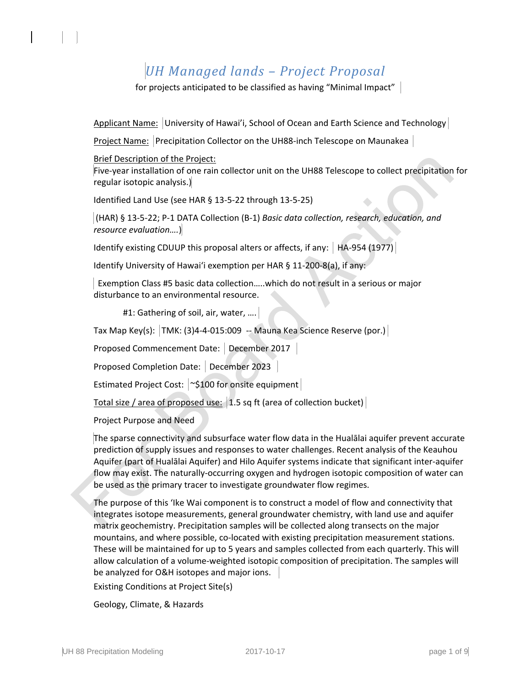## *UH Managed lands – Project Proposal*

for projects anticipated to be classified as having "Minimal Impact"

Applicant Name: University of Hawai'i, School of Ocean and Earth Science and Technology

Project Name: Precipitation Collector on the UH88-inch Telescope on Maunakea

Brief Description of the Project:

Five-year installation of one rain collector unit on the UH88 Telescope to collect precipitation for regular isotopic analysis.)

Identified Land Use (see HAR § 13-5-22 through 13-5-25)

(HAR) § 13-5-22; P-1 DATA Collection (B-1) *Basic data collection, research, education, and resource evaluation….*)

Identify existing CDUUP this proposal alters or affects, if any:  $|HA-954 (1977)|$ 

Identify University of Hawaiʻi exemption per HAR § 11-200-8(a), if any:

 Exemption Class #5 basic data collection…..which do not result in a serious or major disturbance to an environmental resource.

#1: Gathering of soil, air, water, ....

Tax Map Key(s): TMK: (3)4-4-015:009 -- Mauna Kea Science Reserve (por.)

Proposed Commencement Date: December 2017

Proposed Completion Date: December 2023

Estimated Project Cost: ~ \$100 for onsite equipment

Total size / area of proposed use: 1.5 sq ft (area of collection bucket)

Project Purpose and Need

The sparse connectivity and subsurface water flow data in the Hualālai aquifer prevent accurate prediction of supply issues and responses to water challenges. Recent analysis of the Keauhou Aquifer (part of Hualālai Aquifer) and Hilo Aquifer systems indicate that significant inter-aquifer flow may exist. The naturally-occurring oxygen and hydrogen isotopic composition of water can be used as the primary tracer to investigate groundwater flow regimes.

The purpose of this ʻIke Wai component is to construct a model of flow and connectivity that integrates isotope measurements, general groundwater chemistry, with land use and aquifer matrix geochemistry. Precipitation samples will be collected along transects on the major mountains, and where possible, co-located with existing precipitation measurement stations. These will be maintained for up to 5 years and samples collected from each quarterly. This will allow calculation of a volume-weighted isotopic composition of precipitation. The samples will be analyzed for O&H isotopes and major ions.

Existing Conditions at Project Site(s)

Geology, Climate, & Hazards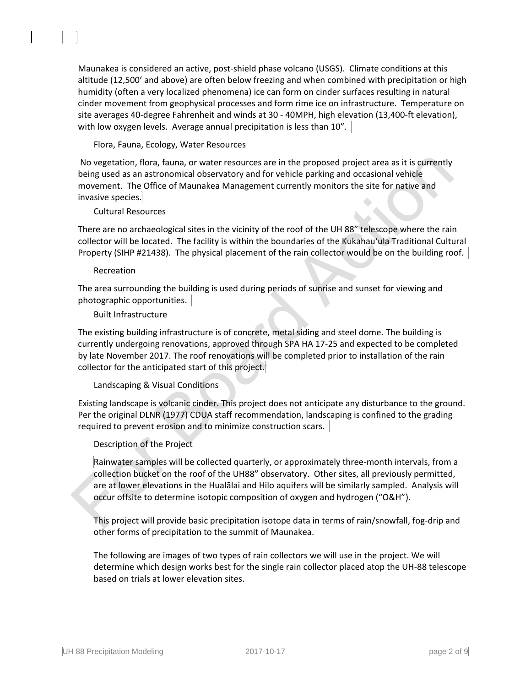Maunakea is considered an active, post-shield phase volcano (USGS). Climate conditions at this altitude (12,500ʻ and above) are often below freezing and when combined with precipitation or high humidity (often a very localized phenomena) ice can form on cinder surfaces resulting in natural cinder movement from geophysical processes and form rime ice on infrastructure. Temperature on site averages 40-degree Fahrenheit and winds at 30 - 40MPH, high elevation (13,400-ft elevation), with low oxygen levels. Average annual precipitation is less than 10".

Flora, Fauna, Ecology, Water Resources

No vegetation, flora, fauna, or water resources are in the proposed project area as it is currently being used as an astronomical observatory and for vehicle parking and occasional vehicle movement. The Office of Maunakea Management currently monitors the site for native and invasive species.

Cultural Resources

There are no archaeological sites in the vicinity of the roof of the UH 88" telescope where the rain collector will be located. The facility is within the boundaries of the Kukahauʻula Traditional Cultural Property (SIHP #21438). The physical placement of the rain collector would be on the building roof.

### Recreation

The area surrounding the building is used during periods of sunrise and sunset for viewing and photographic opportunities.

### Built Infrastructure

The existing building infrastructure is of concrete, metal siding and steel dome. The building is currently undergoing renovations, approved through SPA HA 17-25 and expected to be completed by late November 2017. The roof renovations will be completed prior to installation of the rain collector for the anticipated start of this project.

## Landscaping & Visual Conditions

Existing landscape is volcanic cinder. This project does not anticipate any disturbance to the ground. Per the original DLNR (1977) CDUA staff recommendation, landscaping is confined to the grading required to prevent erosion and to minimize construction scars.

## Description of the Project

Rainwater samples will be collected quarterly, or approximately three-month intervals, from a collection bucket on the roof of the UH88" observatory. Other sites, all previously permitted, are at lower elevations in the Hualālai and Hilo aquifers will be similarly sampled. Analysis will occur offsite to determine isotopic composition of oxygen and hydrogen ("O&H").

This project will provide basic precipitation isotope data in terms of rain/snowfall, fog-drip and other forms of precipitation to the summit of Maunakea.

The following are images of two types of rain collectors we will use in the project. We will determine which design works best for the single rain collector placed atop the UH-88 telescope based on trials at lower elevation sites.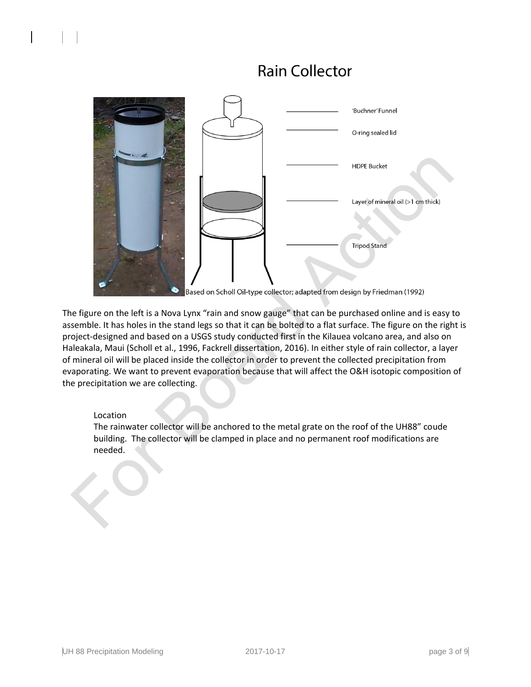# **Rain Collector**



Based on Scholl Oil-type collector; adapted from design by Friedman (1992)

The figure on the left is a Nova Lynx "rain and snow gauge" that can be purchased online and is easy to assemble. It has holes in the stand legs so that it can be bolted to a flat surface. The figure on the right is project-designed and based on a USGS study conducted first in the Kilauea volcano area, and also on Haleakala, Maui (Scholl et al., 1996, Fackrell dissertation, 2016). In either style of rain collector, a layer of mineral oil will be placed inside the collector in order to prevent the collected precipitation from evaporating. We want to prevent evaporation because that will affect the O&H isotopic composition of the precipitation we are collecting.

#### Location

The rainwater collector will be anchored to the metal grate on the roof of the UH88" coude building. The collector will be clamped in place and no permanent roof modifications are needed.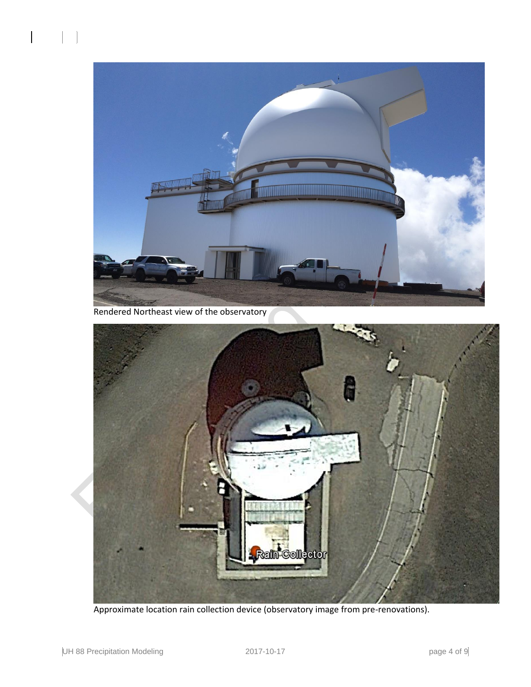

Rendered Northeast view of the observatory



Approximate location rain collection device (observatory image from pre-renovations).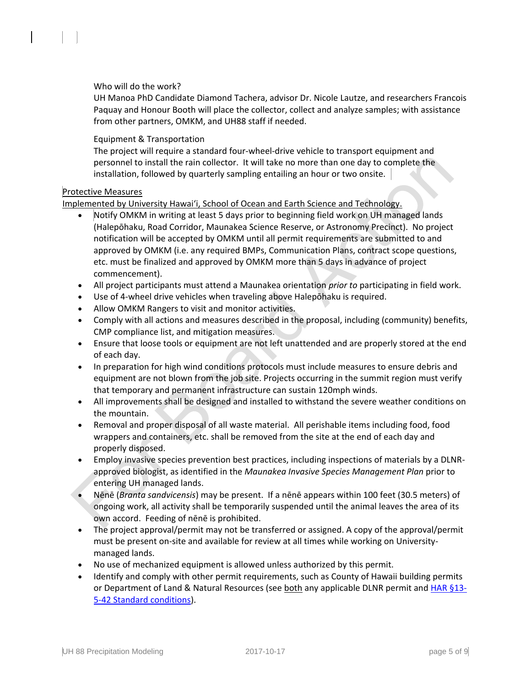## Who will do the work?

UH Manoa PhD Candidate Diamond Tachera, advisor Dr. Nicole Lautze, and researchers Francois Paquay and Honour Booth will place the collector, collect and analyze samples; with assistance from other partners, OMKM, and UH88 staff if needed.

#### Equipment & Transportation

The project will require a standard four-wheel-drive vehicle to transport equipment and personnel to install the rain collector. It will take no more than one day to complete the installation, followed by quarterly sampling entailing an hour or two onsite.

#### Protective Measures

Implemented by University Hawaiʻi, School of Ocean and Earth Science and Technology.

- Notify OMKM in writing at least 5 days prior to beginning field work on UH managed lands (Halepōhaku, Road Corridor, Maunakea Science Reserve, or Astronomy Precinct). No project notification will be accepted by OMKM until all permit requirements are submitted to and approved by OMKM (i.e. any required BMPs, Communication Plans, contract scope questions, etc. must be finalized and approved by OMKM more than 5 days in advance of project commencement).
- All project participants must attend a Maunakea orientation *prior to* participating in field work.
- Use of 4-wheel drive vehicles when traveling above Halepōhaku is required.
- Allow OMKM Rangers to visit and monitor activities.
- Comply with all actions and measures described in the proposal, including (community) benefits, CMP compliance list, and mitigation measures.
- Ensure that loose tools or equipment are not left unattended and are properly stored at the end of each day.
- In preparation for high wind conditions protocols must include measures to ensure debris and equipment are not blown from the job site. Projects occurring in the summit region must verify that temporary and permanent infrastructure can sustain 120mph winds.
- All improvements shall be designed and installed to withstand the severe weather conditions on the mountain.
- Removal and proper disposal of all waste material. All perishable items including food, food wrappers and containers, etc. shall be removed from the site at the end of each day and properly disposed.
- Employ invasive species prevention best practices, including inspections of materials by a DLNRapproved biologist, as identified in the *Maunakea Invasive Species Management Plan* prior to entering UH managed lands.
- Nēnē (*Branta sandvicensis*) may be present. If a nēnē appears within 100 feet (30.5 meters) of ongoing work, all activity shall be temporarily suspended until the animal leaves the area of its own accord. Feeding of nēnē is prohibited.
- The project approval/permit may not be transferred or assigned. A copy of the approval/permit must be present on-site and available for review at all times while working on Universitymanaged lands.
- No use of mechanized equipment is allowed unless authorized by this permit.
- Identify and comply with other permit requirements, such as County of Hawaii building permits or Department of Land & Natural Resources (see both any applicable DLNR permit and HAR [§13-](http://dlnr.hawaii.gov/occl/files/2013/08/13-5-2013.pdf#page=47) [5-42 Standard conditions\)](http://dlnr.hawaii.gov/occl/files/2013/08/13-5-2013.pdf#page=47).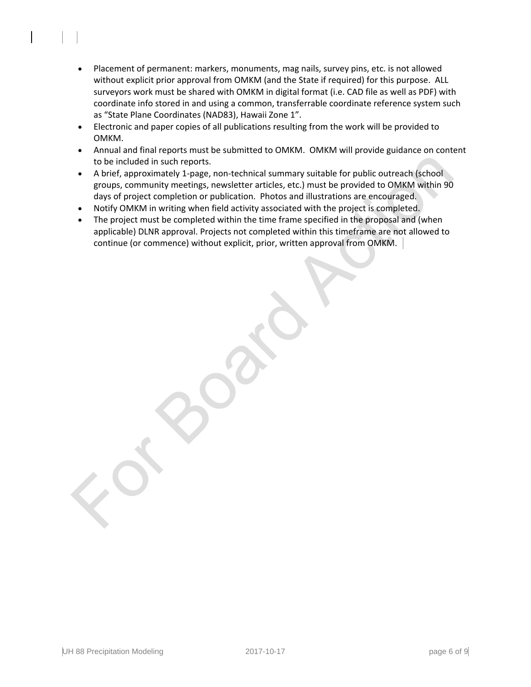- Placement of permanent: markers, monuments, mag nails, survey pins, etc. is not allowed without explicit prior approval from OMKM (and the State if required) for this purpose. ALL surveyors work must be shared with OMKM in digital format (i.e. CAD file as well as PDF) with coordinate info stored in and using a common, transferrable coordinate reference system such as "State Plane Coordinates (NAD83), Hawaii Zone 1".
- Electronic and paper copies of all publications resulting from the work will be provided to OMKM.
- Annual and final reports must be submitted to OMKM. OMKM will provide guidance on content to be included in such reports.
- A brief, approximately 1-page, non-technical summary suitable for public outreach (school groups, community meetings, newsletter articles, etc.) must be provided to OMKM within 90 days of project completion or publication. Photos and illustrations are encouraged.
- Notify OMKM in writing when field activity associated with the project is completed.
- The project must be completed within the time frame specified in the proposal and (when applicable) DLNR approval. Projects not completed within this timeframe are not allowed to continue (or commence) without explicit, prior, written approval from OMKM.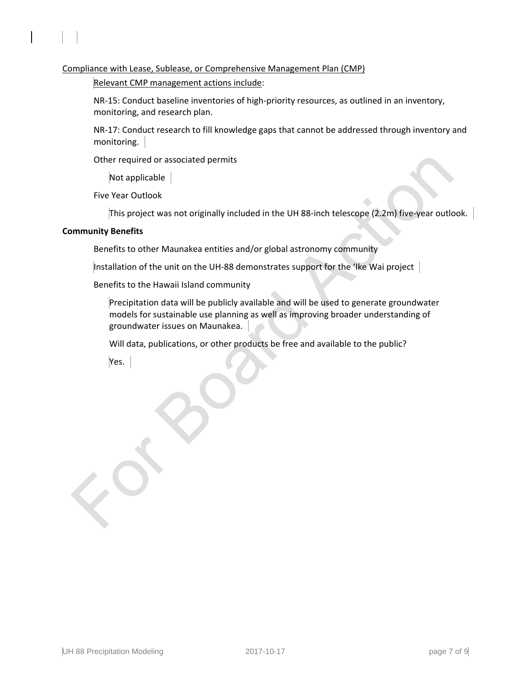Compliance with Lease, Sublease, or Comprehensive Management Plan (CMP)

Relevant CMP management actions include:

NR-15: Conduct baseline inventories of high-priority resources, as outlined in an inventory, monitoring, and research plan.

NR-17: Conduct research to fill knowledge gaps that cannot be addressed through inventory and monitoring.

Other required or associated permits

Not applicable

Five Year Outlook

This project was not originally included in the UH 88-inch telescope (2.2m) five-year outlook.

#### **Community Benefits**

Benefits to other Maunakea entities and/or global astronomy community

Installation of the unit on the UH-88 demonstrates support for the 'Ike Wai project

Benefits to the Hawaii Island community

Precipitation data will be publicly available and will be used to generate groundwater models for sustainable use planning as well as improving broader understanding of groundwater issues on Maunakea.

Will data, publications, or other products be free and available to the public?

Yes.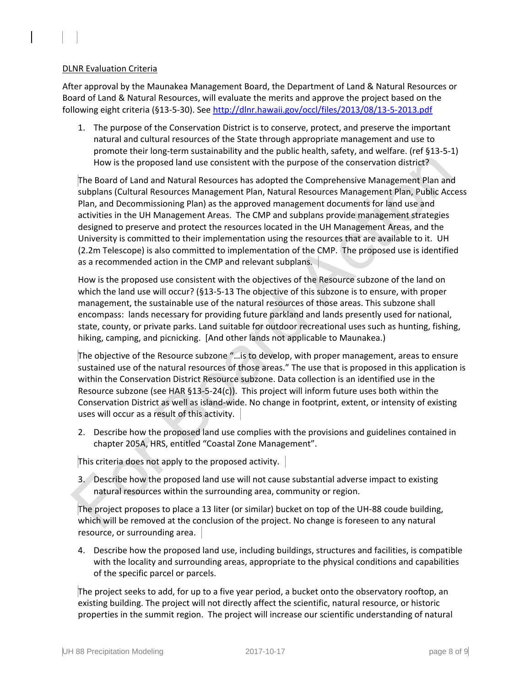### DLNR Evaluation Criteria

After approval by the Maunakea Management Board, the Department of Land & Natural Resources or Board of Land & Natural Resources, will evaluate the merits and approve the project based on the following eight criteria (§13-5-30). See<http://dlnr.hawaii.gov/occl/files/2013/08/13-5-2013.pdf>

1. The purpose of the Conservation District is to conserve, protect, and preserve the important natural and cultural resources of the State through appropriate management and use to promote their long-term sustainability and the public health, safety, and welfare. (ref §13-5-1) How is the proposed land use consistent with the purpose of the conservation district?

The Board of Land and Natural Resources has adopted the Comprehensive Management Plan and subplans (Cultural Resources Management Plan, Natural Resources Management Plan, Public Access Plan, and Decommissioning Plan) as the approved management documents for land use and activities in the UH Management Areas. The CMP and subplans provide management strategies designed to preserve and protect the resources located in the UH Management Areas, and the University is committed to their implementation using the resources that are available to it. UH (2.2m Telescope) is also committed to implementation of the CMP. The proposed use is identified as a recommended action in the CMP and relevant subplans.

How is the proposed use consistent with the objectives of the Resource subzone of the land on which the land use will occur? (§13-5-13 The objective of this subzone is to ensure, with proper management, the sustainable use of the natural resources of those areas. This subzone shall encompass: lands necessary for providing future parkland and lands presently used for national, state, county, or private parks. Land suitable for outdoor recreational uses such as hunting, fishing, hiking, camping, and picnicking. [And other lands not applicable to Maunakea.)

The objective of the Resource subzone "…is to develop, with proper management, areas to ensure sustained use of the natural resources of those areas." The use that is proposed in this application is within the Conservation District Resource subzone. Data collection is an identified use in the Resource subzone (see HAR §13-5-24(c)). This project will inform future uses both within the Conservation District as well as island-wide. No change in footprint, extent, or intensity of existing uses will occur as a result of this activity.

2. Describe how the proposed land use complies with the provisions and guidelines contained in chapter 205A, HRS, entitled "Coastal Zone Management".

This criteria does not apply to the proposed activity.

3. Describe how the proposed land use will not cause substantial adverse impact to existing natural resources within the surrounding area, community or region.

The project proposes to place a 13 liter (or similar) bucket on top of the UH-88 coude building, which will be removed at the conclusion of the project. No change is foreseen to any natural resource, or surrounding area.

4. Describe how the proposed land use, including buildings, structures and facilities, is compatible with the locality and surrounding areas, appropriate to the physical conditions and capabilities of the specific parcel or parcels.

The project seeks to add, for up to a five year period, a bucket onto the observatory rooftop, an existing building. The project will not directly affect the scientific, natural resource, or historic properties in the summit region. The project will increase our scientific understanding of natural